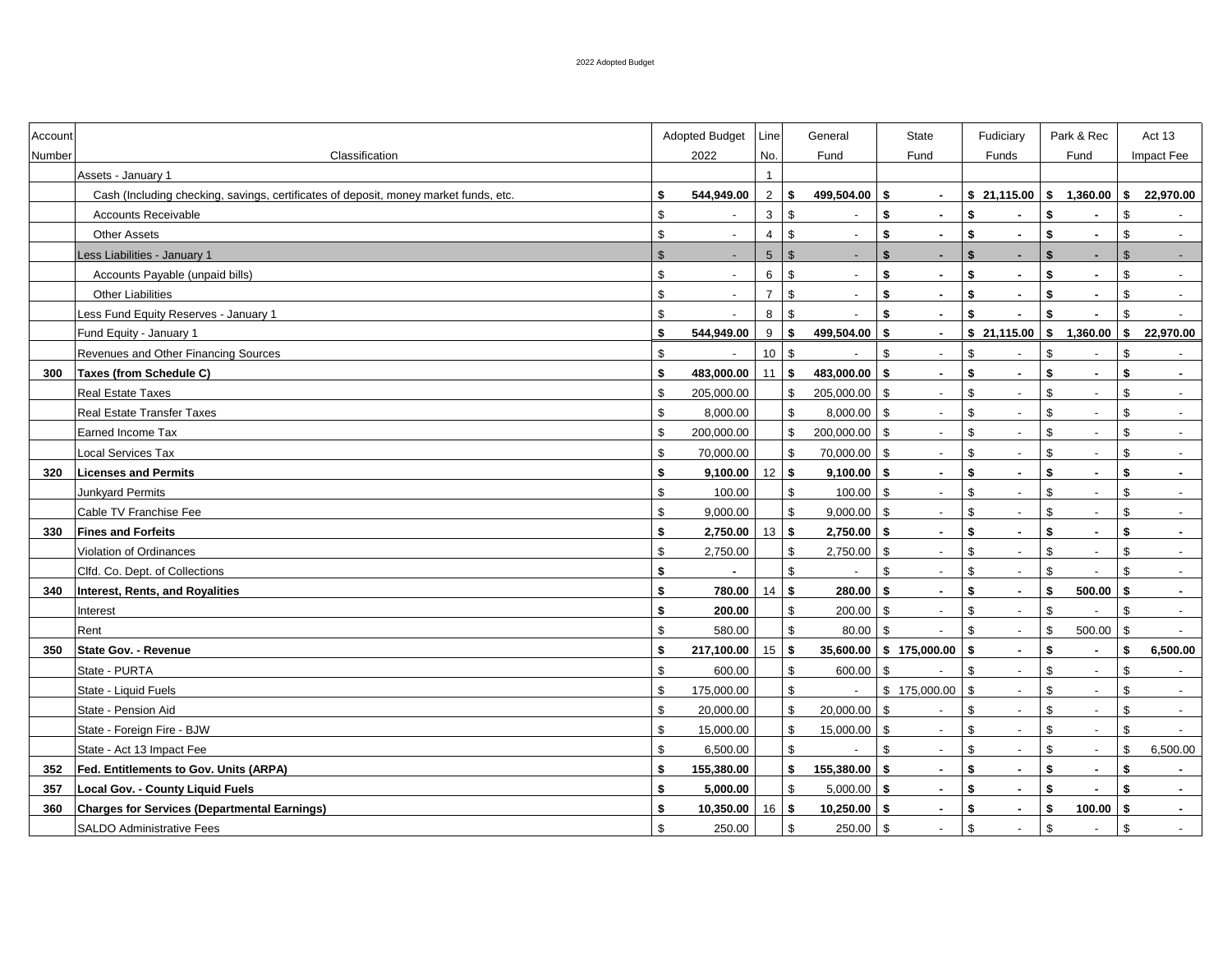| Account |                                                                                      |                | Adopted Budget           | Line            |                           | General                  |                         | State                    | Fudiciary          |                          | Park & Rec   |                          | Act 13       |                          |
|---------|--------------------------------------------------------------------------------------|----------------|--------------------------|-----------------|---------------------------|--------------------------|-------------------------|--------------------------|--------------------|--------------------------|--------------|--------------------------|--------------|--------------------------|
| Number  | Classification                                                                       |                | 2022                     | No.             |                           | Fund                     |                         | Fund                     |                    | Funds                    |              | Fund                     |              | Impact Fee               |
|         | Assets - January 1                                                                   |                |                          | $\overline{1}$  |                           |                          |                         |                          |                    |                          |              |                          |              |                          |
|         | Cash (Including checking, savings, certificates of deposit, money market funds, etc. | \$             | 544,949.00               | 2               | \$                        | 499,504.00               | S.                      | $\sim$                   |                    |                          |              | $$21,115.00$ $$1,360.00$ | \$           | 22,970.00                |
|         | <b>Accounts Receivable</b>                                                           | \$             |                          | 3               | $\mathfrak{S}$            |                          | \$                      | $\sim$                   | \$                 | $\sim$                   | \$           |                          | \$           |                          |
|         | <b>Other Assets</b>                                                                  | \$             |                          | $\overline{4}$  | \$                        | $\overline{\phantom{a}}$ | \$                      | $\blacksquare$           | \$                 | $\mathbf{r}$             | \$           | $\sim$                   | \$           | $\blacksquare$           |
|         | ess Liabilities - January 1                                                          | $\mathsf{\$}$  |                          | $5\phantom{.0}$ | $\mathfrak{S}$            |                          | \$                      | ٠                        | $\mathbf{\hat{s}}$ | $\blacksquare$           | \$           |                          | $\mathbb{S}$ |                          |
|         | Accounts Payable (unpaid bills)                                                      | \$             |                          | 6               | $\mathsf{\$}$             | $\blacksquare$           | \$                      | $\blacksquare$           | \$                 | $\sim$                   | \$           | $\sim$                   | \$           |                          |
|         | <b>Other Liabilities</b>                                                             | \$             | $\overline{\phantom{a}}$ | $\overline{7}$  | $\mathsf{\$}$             | $\overline{\phantom{a}}$ | \$                      | ×.                       | \$                 | $\mathbf{r}$             | \$           | $\sim$                   | \$           | $\blacksquare$           |
|         | Less Fund Equity Reserves - January 1                                                | \$             |                          | 8               | $\mathsf{\$}$             |                          | \$                      | $\sim$                   | \$                 | $\blacksquare$           | \$           | $\sim$                   | \$           |                          |
|         | Fund Equity - January 1                                                              | \$             | 544,949.00               | 9               | $\mathbf{s}$              | 499,504.00               | \$                      | $\blacksquare$           |                    | \$21,115.00              | \$           | 1,360.00                 | $\mathbf{s}$ | 22,970.00                |
|         | Revenues and Other Financing Sources                                                 | \$             |                          | $10\,$          | $\mathfrak s$             |                          | $\mathfrak s$           | $\overline{\phantom{a}}$ | \$                 | $\overline{\phantom{a}}$ | \$           |                          | \$           |                          |
| 300     | Taxes (from Schedule C)                                                              | \$             | 483,000.00               | 11              | \$                        | 483,000.00               | \$                      | $\blacksquare$           | \$                 | $\blacksquare$           | \$           | $\sim$                   | \$           | $\sim$                   |
|         | <b>Real Estate Taxes</b>                                                             | \$             | 205,000.00               |                 | $\mathsf{\$}$             | 205,000.00               | \$                      | $\blacksquare$           | \$                 | $\blacksquare$           | \$           | $\overline{\phantom{a}}$ | \$           | $\overline{\phantom{a}}$ |
|         | <b>Real Estate Transfer Taxes</b>                                                    | \$             | 8,000.00                 |                 | $\boldsymbol{\mathsf{S}}$ | 8,000.00                 | $\sqrt{3}$              | $\blacksquare$           | $\mathfrak s$      | $\blacksquare$           | \$           | $\blacksquare$           | \$           | $\blacksquare$           |
|         | Earned Income Tax                                                                    | \$             | 200,000.00               |                 | $\mathfrak{S}$            | 200,000.00               | $\mathbf{s}$            | $\overline{\phantom{a}}$ | \$                 | $\blacksquare$           | \$           |                          | \$           | $\overline{\phantom{a}}$ |
|         | Local Services Tax                                                                   | \$             | 70,000.00                |                 | $\mathfrak{S}$            | 70,000.00                | \$                      | $\blacksquare$           | \$                 | $\sim$                   | \$           | $\overline{\phantom{a}}$ | \$           | $\overline{\phantom{a}}$ |
| 320     | <b>Licenses and Permits</b>                                                          | \$             | 9,100.00                 | $12$ \$         |                           | 9,100.00                 | -\$                     | $\blacksquare$           | \$                 | $\blacksquare$           | \$           | $\sim$                   | \$           | $\blacksquare$           |
|         | <b>Junkyard Permits</b>                                                              | \$             | 100.00                   |                 | $\mathsf{\$}$             | 100.00                   | \$                      | $\sim$                   | \$                 | $\overline{\phantom{a}}$ | \$           | $\overline{\phantom{a}}$ | \$           | $\sim$                   |
|         | Cable TV Franchise Fee                                                               | $\mathfrak{S}$ | 9,000.00                 |                 | $\mathfrak{S}$            | 9,000.00                 | $\mathfrak{L}$          | $\sim$                   | $\mathfrak{L}$     | $\sim$                   | \$           | $\overline{\phantom{a}}$ | \$           | $\sim$                   |
| 330     | <b>Fines and Forfeits</b>                                                            | \$             | 2,750.00                 | 13              | S.                        | 2,750.00                 | -S                      | $\blacksquare$           | \$                 | $\sim$                   | \$           | $\sim$                   | \$           | $\sim$                   |
|         | Violation of Ordinances                                                              | \$             | 2,750.00                 |                 | $\mathfrak{S}$            | 2,750.00                 | - \$                    | $\overline{\phantom{a}}$ | \$                 | $\blacksquare$           | \$           |                          | \$           | $\blacksquare$           |
|         | Clfd. Co. Dept. of Collections                                                       | \$             |                          |                 | $\sqrt{2}$                |                          | $\mathfrak{S}$          | $\blacksquare$           | \$                 | $\blacksquare$           | \$           |                          | \$           | $\overline{\phantom{a}}$ |
| 340     | Interest, Rents, and Royalities                                                      | \$             | 780.00                   | 14              | \$                        | 280.00                   | - \$                    | $\sim$                   | \$                 | $\blacksquare$           | \$           | 500.00                   | $\mathbf{s}$ | $\blacksquare$           |
|         | Interest                                                                             | \$             | 200.00                   |                 | $\mathbb{S}$              | 200.00                   | \$                      | $\blacksquare$           | \$                 | $\blacksquare$           | \$           |                          | \$           | $\overline{\phantom{a}}$ |
|         | Rent                                                                                 | \$             | 580.00                   |                 | $\sqrt[6]{\frac{1}{2}}$   | 80.00                    | $\sqrt{3}$              | $\overline{a}$           | $\mathfrak s$      | $\blacksquare$           | \$           | 500.00                   | \$           |                          |
| 350     | State Gov. - Revenue                                                                 | \$             | 217,100.00               | 15              | \$                        | 35,600.00                |                         | \$175,000.00             | l \$               | $\blacksquare$           | \$           | $\sim$                   | \$           | 6,500.00                 |
|         | State - PURTA                                                                        | \$             | 600.00                   |                 | $\sqrt[6]{\frac{1}{2}}$   | 600.00                   | $\sqrt[6]{\frac{1}{2}}$ | $\overline{a}$           | $\mathfrak s$      | $\blacksquare$           | $\mathbb{S}$ | $\overline{\phantom{a}}$ | \$           |                          |
|         | State - Liquid Fuels                                                                 | \$             | 175,000.00               |                 | $\sqrt[6]{\frac{1}{2}}$   |                          |                         | \$175,000.00             | \$                 | $\mathbf{r}$             | \$           | $\blacksquare$           | \$           | $\blacksquare$           |
|         | State - Pension Aid                                                                  | \$             | 20,000.00                |                 | $\mathfrak{S}$            | 20,000.00                | \$                      | $\overline{a}$           | $\mathfrak{L}$     | $\mathbf{r}$             | \$           | $\overline{a}$           | \$           | $\blacksquare$           |
|         | State - Foreign Fire - BJW                                                           | \$             | 15,000.00                |                 | $\boldsymbol{\mathsf{S}}$ | 15,000.00                | \$                      | $\overline{\phantom{a}}$ | \$                 | $\blacksquare$           | \$           | $\blacksquare$           | \$           |                          |
|         | State - Act 13 Impact Fee                                                            | \$             | 6,500.00                 |                 | $\sqrt[6]{\frac{1}{2}}$   |                          | \$                      | $\overline{\phantom{a}}$ | \$                 | $\blacksquare$           | \$           |                          | \$           | 6,500.00                 |
| 352     | Fed. Entitlements to Gov. Units (ARPA)                                               | \$             | 155,380.00               |                 | $\mathbf{s}$              | 155,380.00               | -\$                     | $\blacksquare$           | \$                 | $\blacksquare$           | \$           | $\sim$                   | \$           | $\tilde{\phantom{a}}$    |
| 357     | Local Gov. - County Liquid Fuels                                                     | \$             | 5,000.00                 |                 | $\mathbb{S}$              | 5,000.00                 | -\$                     | $\blacksquare$           | \$                 | $\blacksquare$           | \$           |                          | \$           | $\blacksquare$           |
| 360     | <b>Charges for Services (Departmental Earnings)</b>                                  | \$             | 10,350.00                | 16              | \$                        | 10,250.00                | S.                      | $\sim$                   | S.                 | $\sim$                   | \$           | 100.00                   | \$           | $\sim$                   |
|         | SALDO Administrative Fees                                                            | $\mathfrak{S}$ | 250.00                   |                 | $\mathfrak{S}$            | 250.00                   | \$                      | $\blacksquare$           | \$                 | $\blacksquare$           | \$           |                          | \$           | $\sim$                   |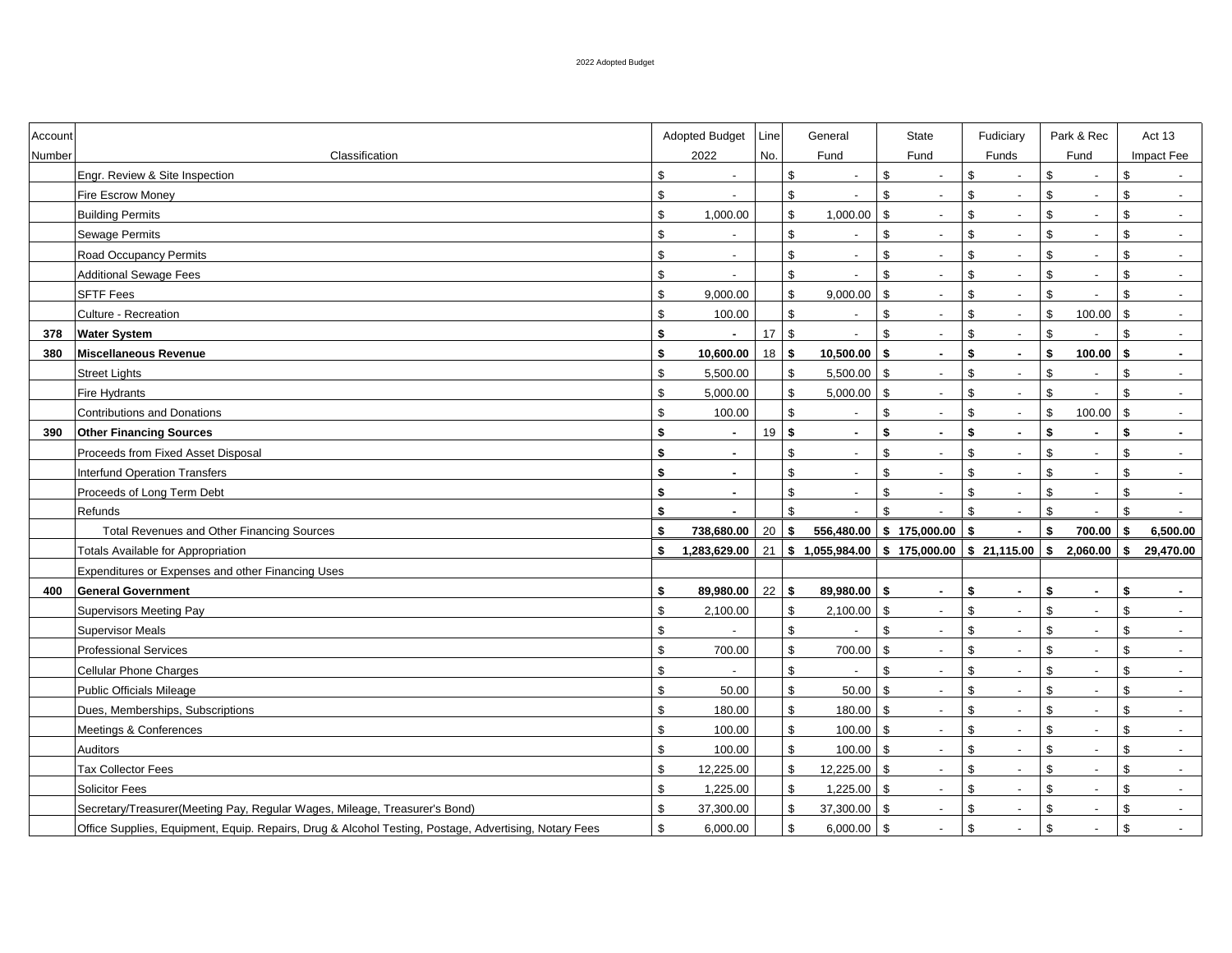| Account |                                                                                                       |                | Adopted Budget           | Line | General                                             |                           | <b>State</b>             |                | Fudiciary                                | Park & Rec     |                          | Act 13 |                             |
|---------|-------------------------------------------------------------------------------------------------------|----------------|--------------------------|------|-----------------------------------------------------|---------------------------|--------------------------|----------------|------------------------------------------|----------------|--------------------------|--------|-----------------------------|
| Number  | Classification                                                                                        |                | 2022                     | No.  | Fund                                                |                           | Fund                     |                | Funds                                    |                | Fund                     |        | Impact Fee                  |
|         | Engr. Review & Site Inspection                                                                        | $\mathfrak{L}$ | $\overline{a}$           |      | $\mathsf{\$}$                                       | \$                        | $\overline{a}$           | \$             | $\overline{a}$                           | \$             | $\overline{a}$           | \$     |                             |
|         | Fire Escrow Money                                                                                     | \$             |                          |      | $\mathfrak s$                                       | \$                        | $\sim$                   | \$             | $\overline{a}$                           | \$             | $\overline{\phantom{a}}$ | \$     | $\mathcal{L}^{\mathcal{A}}$ |
|         | <b>Building Permits</b>                                                                               | $\mathfrak s$  | 1,000.00                 |      | $\$$<br>1,000.00                                    | $\mathfrak{S}$            | $\blacksquare$           | \$             | $\overline{\phantom{a}}$                 | \$             | $\sim$                   | \$     | $\overline{\phantom{a}}$    |
|         | <b>Sewage Permits</b>                                                                                 | \$             |                          |      | $\boldsymbol{\mathsf{S}}$                           | \$                        | $\blacksquare$           | \$             | $\sim$                                   | \$             | $\overline{\phantom{a}}$ | \$     | $\overline{\phantom{a}}$    |
|         | Road Occupancy Permits                                                                                | \$             | $\overline{\phantom{a}}$ |      | \$<br>$\overline{\phantom{a}}$                      | \$                        | $\blacksquare$           | $\mathfrak{s}$ | $\mathcal{L}$                            | \$             | $\overline{\phantom{a}}$ | \$     | $\blacksquare$              |
|         | <b>Additional Sewage Fees</b>                                                                         | \$             |                          |      | $\mathfrak s$                                       | $\mathfrak{L}$            | $\sim$                   | $\mathfrak{s}$ | $\sim$                                   | \$             | $\sim$                   | \$     | $\overline{a}$              |
|         | <b>SFTF Fees</b>                                                                                      | $\mathbb{S}$   | 9,000.00                 |      | $\mathfrak s$<br>9,000.00                           | $\mathbf{s}$              | $\overline{\phantom{a}}$ | \$             | $\sim$                                   | $\mathfrak{S}$ | $\overline{\phantom{a}}$ | \$     | $\sim$                      |
|         | Culture - Recreation                                                                                  | $\mathfrak{S}$ | 100.00                   |      | $\mathfrak s$                                       | $\mathbb S$               | $\overline{\phantom{a}}$ | \$             | $\sim$                                   | $\mathfrak{S}$ | $100.00$ \$              |        | $\blacksquare$              |
| 378     | <b>Water System</b>                                                                                   | s.             | ÷.                       | 17   | $\mathfrak{S}$                                      | \$                        | $\mathbf{r}$             | \$             | $\blacksquare$                           | $\mathbb{S}$   |                          | \$     | $\mathbf{r}$                |
| 380     | <b>Miscellaneous Revenue</b>                                                                          | \$             | 10,600.00                | 18   | \$<br>10,500.00                                     | S.                        | ×.                       | \$             | $\mathbf{r}$                             | \$             | 100.00                   | \$     | ä,                          |
|         | <b>Street Lights</b>                                                                                  | $\mathfrak s$  | 5,500.00                 |      | $\boldsymbol{\mathsf{S}}$<br>5,500.00               | \$                        | $\sim$                   | \$             | $\blacksquare$                           | \$             | $\overline{\phantom{a}}$ | \$     | $\mathbf{r}$                |
|         | <b>Fire Hydrants</b>                                                                                  | $\mathbb{S}$   | 5,000.00                 |      | $\mathfrak s$<br>5,000.00                           | \$                        | $\blacksquare$           | \$             | $\overline{\phantom{a}}$                 | $\mathfrak{S}$ |                          | \$     |                             |
|         | <b>Contributions and Donations</b>                                                                    | $\mathbb{S}$   | 100.00                   |      | $\mathfrak{S}$                                      | \$                        | $\blacksquare$           | \$             | $\blacksquare$                           | \$             | 100.00                   | \$     | $\blacksquare$              |
| 390     | <b>Other Financing Sources</b>                                                                        | \$             |                          | 19   | \$<br>$\sim$                                        | \$                        | $\blacksquare$           | \$             | $\blacksquare$                           | \$             | $\blacksquare$           | \$     | $\sim$                      |
|         | Proceeds from Fixed Asset Disposal                                                                    | \$             | $\sim$                   |      | $\mathfrak s$                                       | $\boldsymbol{\mathsf{S}}$ | $\overline{\phantom{a}}$ | \$             | $\overline{\phantom{a}}$                 | \$             | $\overline{\phantom{a}}$ | \$     | $\blacksquare$              |
|         | <b>Interfund Operation Transfers</b>                                                                  | s.             | $\sim$                   |      | $\sqrt[6]{\frac{1}{2}}$<br>$\overline{\phantom{a}}$ | \$                        | $\blacksquare$           | \$             | $\mathcal{L}$                            | $\mathfrak{S}$ | $\sim$                   | \$     | $\sim$                      |
|         | Proceeds of Long Term Debt                                                                            | s.             | $\sim$                   |      | $\mathfrak s$<br>$\overline{\phantom{a}}$           | \$                        | $\overline{\phantom{a}}$ | \$             | $\sim$                                   | $\mathfrak{S}$ | $\sim$                   | \$     | $\sim$                      |
|         | Refunds                                                                                               | \$             | $\sim$                   |      | $\mathfrak{S}$                                      | $\mathfrak{S}$            | $\blacksquare$           | \$             | $\mathcal{L}$                            | $\mathfrak{S}$ | $\blacksquare$           | \$     | $\sim$                      |
|         | Total Revenues and Other Financing Sources                                                            | \$             | 738,680.00               | 20   | 556,480.00<br>S.                                    |                           | \$175,000.00             | \$             | $\blacksquare$                           | \$             | 700.00                   | \$     | 6,500.00                    |
|         | Totals Available for Appropriation                                                                    | \$             | 1,283,629.00             | 21   | \$1,055,984.00                                      |                           | \$175,000.00             |                | $$21,115.00 \;   \; $2,060.00 \;   \; $$ |                |                          |        | 29,470.00                   |
|         | Expenditures or Expenses and other Financing Uses                                                     |                |                          |      |                                                     |                           |                          |                |                                          |                |                          |        |                             |
| 400     | <b>General Government</b>                                                                             | \$             | 89,980.00                | 22   | $\sqrt{2}$<br>89,980.00                             | \$                        | $\sim$                   | \$             | $\sim$                                   | \$             | $\sim$                   | \$     | $\sim$                      |
|         | <b>Supervisors Meeting Pay</b>                                                                        | $\mathfrak s$  | 2,100.00                 |      | \$<br>2,100.00                                      | \$                        | $\overline{\phantom{a}}$ | \$             | $\sim$                                   | $$\mathbb{S}$$ | $\sim$                   | \$     | $\blacksquare$              |
|         | <b>Supervisor Meals</b>                                                                               | $\mathfrak s$  |                          |      | $\sqrt[6]{\frac{1}{2}}$                             | $\mathbb{S}$              | $\overline{\phantom{a}}$ | \$             | $\sim$                                   | $$\mathbb{S}$$ | $\sim$                   | \$     | $\overline{\phantom{a}}$    |
|         | <b>Professional Services</b>                                                                          | $\mathfrak{S}$ | 700.00                   |      | $\mathfrak s$<br>700.00                             | $\mathfrak s$             | $\mathbf{r}$             | \$             | $\sim$                                   | $$\mathbb{S}$$ | $\overline{\phantom{a}}$ | \$     | $\sim$                      |
|         | <b>Cellular Phone Charges</b>                                                                         | $\mathfrak s$  |                          |      | $\mathfrak s$                                       | $\mathfrak{L}$            | $\mathbf{r}$             | \$             | $\mathcal{L}^{\pm}$                      | \$             | $\overline{\phantom{a}}$ | \$     | $\mathbf{r}$                |
|         | <b>Public Officials Mileage</b>                                                                       | $\mathfrak s$  | 50.00                    |      | $\mathfrak s$<br>50.00                              | \$                        | $\blacksquare$           | \$             | $\blacksquare$                           | \$             | $\overline{\phantom{a}}$ | \$     | $\blacksquare$              |
|         | Dues, Memberships, Subscriptions                                                                      | \$             | 180.00                   |      | $\sqrt[6]{\frac{1}{2}}$<br>180.00                   | \$                        | $\overline{\phantom{a}}$ | \$             | $\blacksquare$                           | \$             | $\sim$                   | \$     | $\blacksquare$              |
|         | Meetings & Conferences                                                                                | $$\mathbb{S}$$ | 100.00                   |      | $\sqrt[6]{\frac{1}{2}}$<br>100.00                   | \$                        | $\blacksquare$           | \$             | $\overline{\phantom{a}}$                 | \$             | $\sim$                   | \$     | $\blacksquare$              |
|         | <b>Auditors</b>                                                                                       | $\mathfrak s$  | 100.00                   |      | $\mathfrak s$<br>100.00                             | $\mathbf{s}$              | $\blacksquare$           | \$             | $\sim$                                   | \$             | $\overline{\phantom{a}}$ | \$     | $\blacksquare$              |
|         | <b>Tax Collector Fees</b>                                                                             | \$             | 12,225.00                |      | $\mathfrak{S}$<br>12,225.00                         | \$                        | $\sim$                   | \$             | $\overline{\phantom{a}}$                 | \$             | $\overline{\phantom{a}}$ | \$     | $\sim$                      |
|         | Solicitor Fees                                                                                        | \$             | 1,225.00                 |      | $\mathfrak s$<br>1,225.00                           | \$                        | $\overline{\phantom{a}}$ | \$             | $\overline{\phantom{a}}$                 | \$             | $\overline{\phantom{a}}$ | \$     | $\overline{\phantom{a}}$    |
|         | Secretary/Treasurer(Meeting Pay, Regular Wages, Mileage, Treasurer's Bond)                            | \$             | 37,300.00                |      | $\mathbb{S}$<br>37,300.00                           | \$                        | $\blacksquare$           | \$             | $\overline{\phantom{a}}$                 | \$             | $\sim$                   | \$     | $\sim$                      |
|         | Office Supplies, Equipment, Equip. Repairs, Drug & Alcohol Testing, Postage, Advertising, Notary Fees | $\mathbf{s}$   | 6,000.00                 |      | $\mathfrak{S}$<br>6,000.00                          | $\mathfrak{L}$            | $\sim$                   | \$             | $\overline{\phantom{a}}$                 | \$             | $\overline{\phantom{a}}$ | \$     | $\sim$                      |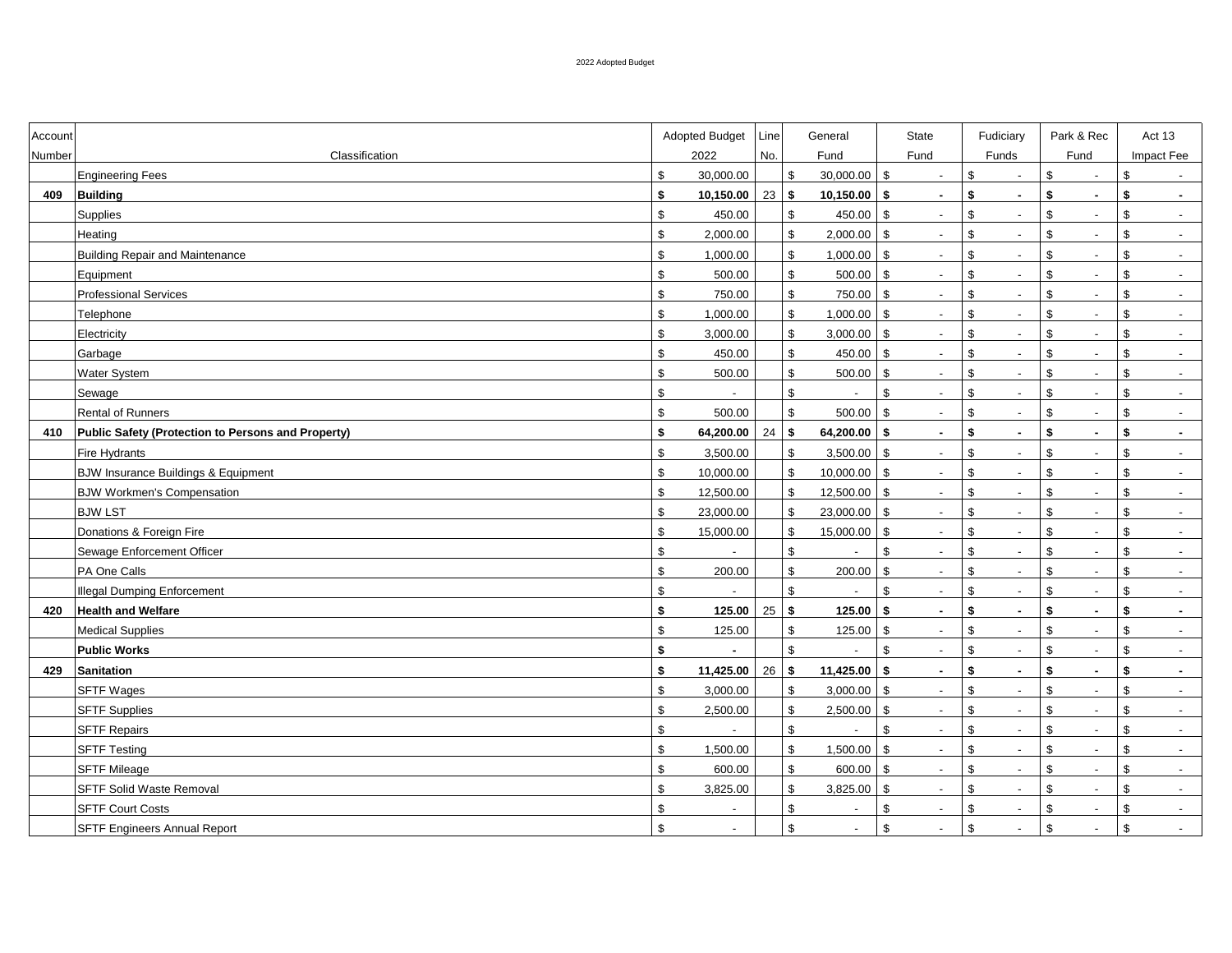| Account |                                                    |                | Adopted Budget<br>Line   |               | General                              |                         | <b>State</b>             |               | Fudiciary                |                | Park & Rec               | Act 13                         |  |
|---------|----------------------------------------------------|----------------|--------------------------|---------------|--------------------------------------|-------------------------|--------------------------|---------------|--------------------------|----------------|--------------------------|--------------------------------|--|
| Number  | Classification                                     |                | 2022<br>No.              |               | Fund                                 |                         | Fund                     | Funds         |                          |                | Fund                     | Impact Fee                     |  |
|         | <b>Engineering Fees</b>                            | $\mathfrak{S}$ | 30,000.00                |               | $\mathbb{S}$<br>30,000.00            | $\mathfrak{S}$          | $\sim$                   | $\mathbb{S}$  | $\sim$                   | $\mathfrak{S}$ | $\overline{\phantom{a}}$ | \$<br>$\sim$                   |  |
| 409     | <b>Building</b>                                    | \$             | 10,150.00                | 23            | 10,150.00<br>\$                      | S.                      | $\mathbf{r}$             | \$            | $\mathbf{r}$             | \$             | $\sim$                   | \$<br>$\sim$                   |  |
|         | Supplies                                           | $\mathfrak{S}$ | 450.00                   |               | $\mathfrak{S}$<br>450.00             | \$                      | $\blacksquare$           | $\mathbb{S}$  | $\sim$                   | $\mathfrak{S}$ |                          | \$<br>$\overline{\phantom{a}}$ |  |
|         | Heating                                            | \$             | 2,000.00                 |               | $\mathbb{S}$<br>2,000.00             | $\mathfrak{S}$          | $\blacksquare$           | $\mathbb{S}$  | $\blacksquare$           | $\mathbb{S}$   | $\overline{\phantom{a}}$ | \$<br>$\sim$                   |  |
|         | <b>Building Repair and Maintenance</b>             | $$\mathbb{S}$$ | 1,000.00                 |               | $\mathfrak{S}$<br>1,000.00           | \$                      | $\sim$                   | \$            | $\sim$                   | $\mathfrak{S}$ | $\overline{\phantom{a}}$ | \$<br>$\sim$                   |  |
|         | Equipment                                          | $\mathfrak s$  | 500.00                   |               | $\mathfrak s$<br>500.00              | \$                      | $\sim$                   | \$            | $\sim$                   | $\mathbb{S}$   | $\overline{\phantom{a}}$ | \$<br>$\sim$                   |  |
|         | <b>Professional Services</b>                       | $\mathfrak s$  | 750.00                   |               | \$<br>750.00                         | $\sqrt{3}$              | $\overline{\phantom{a}}$ | \$            | $\sim$                   | \$             | $\overline{\phantom{a}}$ | \$<br>$\sim$                   |  |
|         | Telephone                                          | \$             | 1,000.00                 |               | \$<br>1,000.00                       | $\mathfrak s$           | $\overline{\phantom{a}}$ | \$            | $\sim$                   | \$             | $\overline{\phantom{a}}$ | \$<br>$\overline{\phantom{a}}$ |  |
|         | Electricity                                        | $$\mathbb{S}$$ | 3,000.00                 |               | \$<br>3,000.00                       | $\mathfrak s$           | $\overline{\phantom{a}}$ | \$            | $\sim$                   | \$             | $\overline{\phantom{a}}$ | \$<br>$\sim$                   |  |
|         | Garbage                                            | \$             | 450.00                   |               | \$<br>450.00                         | \$                      | $\overline{\phantom{a}}$ | \$            | $\sim$                   | \$             | $\overline{\phantom{a}}$ | \$<br>$\sim$                   |  |
|         | Water System                                       | \$             | 500.00                   |               | $\sqrt[6]{\frac{1}{2}}$<br>500.00    | \$                      | $\overline{\phantom{a}}$ | \$            | $\overline{a}$           | \$             |                          | \$<br>$\overline{\phantom{a}}$ |  |
|         | Sewage                                             | \$             |                          |               | $\sqrt[6]{\frac{1}{2}}$              | $\,$                    | $\blacksquare$           | $\,$          | $\overline{\phantom{a}}$ | \$             | $\overline{\phantom{a}}$ | \$<br>$\overline{\phantom{a}}$ |  |
|         | <b>Rental of Runners</b>                           | \$             | 500.00                   |               | $\sqrt[6]{\frac{1}{2}}$<br>500.00    | $\mathfrak{S}$          | $\overline{\phantom{a}}$ | $\mathfrak s$ | $\blacksquare$           | $\mathbb{S}$   | $\overline{\phantom{a}}$ | \$<br>$\overline{\phantom{a}}$ |  |
| 410     | Public Safety (Protection to Persons and Property) | \$             | 64,200.00                | 24            | $\mathbf{s}$<br>64,200.00            | $\mathbf{s}$            | $\sim$                   | \$            | $\blacksquare$           | \$             | $\sim$                   | \$<br>$\sim$                   |  |
|         | Fire Hydrants                                      | $$\mathbb{S}$$ | 3,500.00                 |               | $\mathfrak s$<br>3,500.00            | $\mathfrak s$           | $\sim$                   | $\mathfrak s$ | $\sim$                   | \$             | $\overline{\phantom{a}}$ | \$<br>$\sim$                   |  |
|         | <b>BJW Insurance Buildings &amp; Equipment</b>     | \$             | 10,000.00                |               | $\mathfrak s$<br>10,000.00           | $\mathfrak s$           | $\sim$                   | $\mathfrak s$ | $\blacksquare$           | $\mathbb{S}$   | $\sim$                   | \$<br>$\overline{\phantom{a}}$ |  |
|         | <b>BJW Workmen's Compensation</b>                  | \$             | 12,500.00                |               | $\sqrt[6]{\frac{1}{2}}$<br>12,500.00 | $\mathfrak{S}$          | $\sim$                   | $\mathfrak s$ | $\blacksquare$           | $\mathbb{S}$   | $\overline{\phantom{a}}$ | \$<br>$\overline{\phantom{a}}$ |  |
|         | <b>BJW LST</b>                                     | $$\mathbb{S}$$ | 23,000.00                |               | \$<br>23,000.00                      | $\mathfrak{S}$          | $\blacksquare$           | \$            | $\mathbf{L}$             | $\mathbb{S}$   | $\overline{\phantom{a}}$ | \$<br>$\sim$                   |  |
|         | Donations & Foreign Fire                           | \$             | 15,000.00                |               | \$<br>15,000.00                      | \$                      | $\overline{\phantom{a}}$ | \$            | $\blacksquare$           | \$             | $\overline{\phantom{a}}$ | \$<br>$\blacksquare$           |  |
|         | Sewage Enforcement Officer                         | \$             |                          |               | $\boldsymbol{\mathsf{S}}$            | $\mathfrak{S}$          | $\overline{\phantom{a}}$ | $\mathfrak s$ | $\overline{\phantom{a}}$ | \$             | $\overline{\phantom{a}}$ | \$<br>$\blacksquare$           |  |
|         | PA One Calls                                       | $\,$           | 200.00                   |               | $$\mathbb{S}$$<br>200.00             | $\sqrt[6]{3}$           | $\blacksquare$           | $\,$          | $\blacksquare$           | \$             | $\sim$                   | \$<br>$\blacksquare$           |  |
|         | <b>Illegal Dumping Enforcement</b>                 | $\,$           |                          |               | $\boldsymbol{\mathsf{S}}$            | $\sqrt[6]{\frac{1}{2}}$ | $\blacksquare$           | $\,$          | $\sim$                   | \$             | $\sim$                   | \$<br>$\overline{\phantom{a}}$ |  |
| 420     | <b>Health and Welfare</b>                          | \$             | 125.00                   | $25 \quad$ \$ | 125.00                               | \$                      | $\sim$                   | \$            | $\sim$                   | \$             | $\sim$                   | \$<br>$\bullet$                |  |
|         | <b>Medical Supplies</b>                            | $\,$           | 125.00                   |               | $\,$<br>125.00                       | $\sqrt[6]{3}$           | $\sim$                   | \$            | $\sim$                   | \$             | $\overline{\phantom{a}}$ | \$<br>$\sim$                   |  |
|         | <b>Public Works</b>                                | \$             |                          |               | $\mathfrak{s}$                       | $\mathfrak{S}$          | $\sim$                   | \$            | $\sim$                   | \$             | $\overline{\phantom{a}}$ | \$<br>$\overline{\phantom{a}}$ |  |
| 429     | <b>Sanitation</b>                                  | \$             | 11,425.00                | 26            | $\mathbf{s}$<br>11,425.00            | $\mathbf{s}$            | $\mathbf{r}$             | \$            | $\blacksquare$           | \$             | $\sim$                   | \$<br>$\sim$                   |  |
|         | <b>SFTF Wages</b>                                  | $$\mathbb{S}$$ | 3,000.00                 |               | $\mathfrak{S}$<br>3,000.00           | $\mathfrak s$           | $\overline{\phantom{a}}$ | \$            | $\blacksquare$           | $\mathbb{S}$   | $\overline{a}$           | \$<br>$\overline{\phantom{a}}$ |  |
|         | <b>SFTF Supplies</b>                               | $\mathbb{S}$   | 2,500.00                 |               | $\mathbb{S}$<br>2,500.00             | \$                      | $\blacksquare$           | $\mathbb{S}$  | $\blacksquare$           | $\mathbb{S}$   | $\blacksquare$           | \$<br>$\blacksquare$           |  |
|         | <b>SFTF Repairs</b>                                | $$\mathbb{S}$$ |                          |               | \$                                   | $\mathfrak{S}$          | $\blacksquare$           | $\mathfrak s$ | $\overline{\phantom{a}}$ | $\mathbb{S}$   | $\blacksquare$           | \$<br>$\overline{\phantom{a}}$ |  |
|         | <b>SFTF Testing</b>                                | $$\mathbb{S}$$ | 1,500.00                 |               | $\mathfrak s$<br>1,500.00            | $\mathbf{s}$            | $\blacksquare$           | $\mathbb{S}$  | $\blacksquare$           | $\mathbb{S}$   |                          | \$<br>$\sim$                   |  |
|         | <b>SFTF Mileage</b>                                | $\mathfrak s$  | 600.00                   |               | $\mathfrak s$<br>600.00              | \$                      | $\overline{\phantom{a}}$ | \$            | $\overline{\phantom{a}}$ | \$             | $\overline{\phantom{a}}$ | \$<br>$\sim$                   |  |
|         | SFTF Solid Waste Removal                           | $\mathfrak{S}$ | 3,825.00                 |               | $\mathfrak s$<br>3,825.00            | \$                      | $\blacksquare$           | \$            | $\overline{\phantom{a}}$ | \$             | $\overline{\phantom{a}}$ | \$<br>$\overline{\phantom{a}}$ |  |
|         | <b>SFTF Court Costs</b>                            | \$             | $\overline{\phantom{a}}$ |               | \$<br>$\overline{\phantom{a}}$       | \$                      | $\sim$                   | \$            | $\sim$                   | \$             | $\overline{\phantom{a}}$ | \$<br>$\sim$                   |  |
|         | <b>SFTF Engineers Annual Report</b>                | $\mathfrak{S}$ | $\overline{\phantom{a}}$ |               | \$<br>$\sim$                         | \$                      | $\blacksquare$           | $\mathfrak s$ | $\sim$                   | $\mathbb{S}$   | $\overline{\phantom{a}}$ | \$<br>$\sim$                   |  |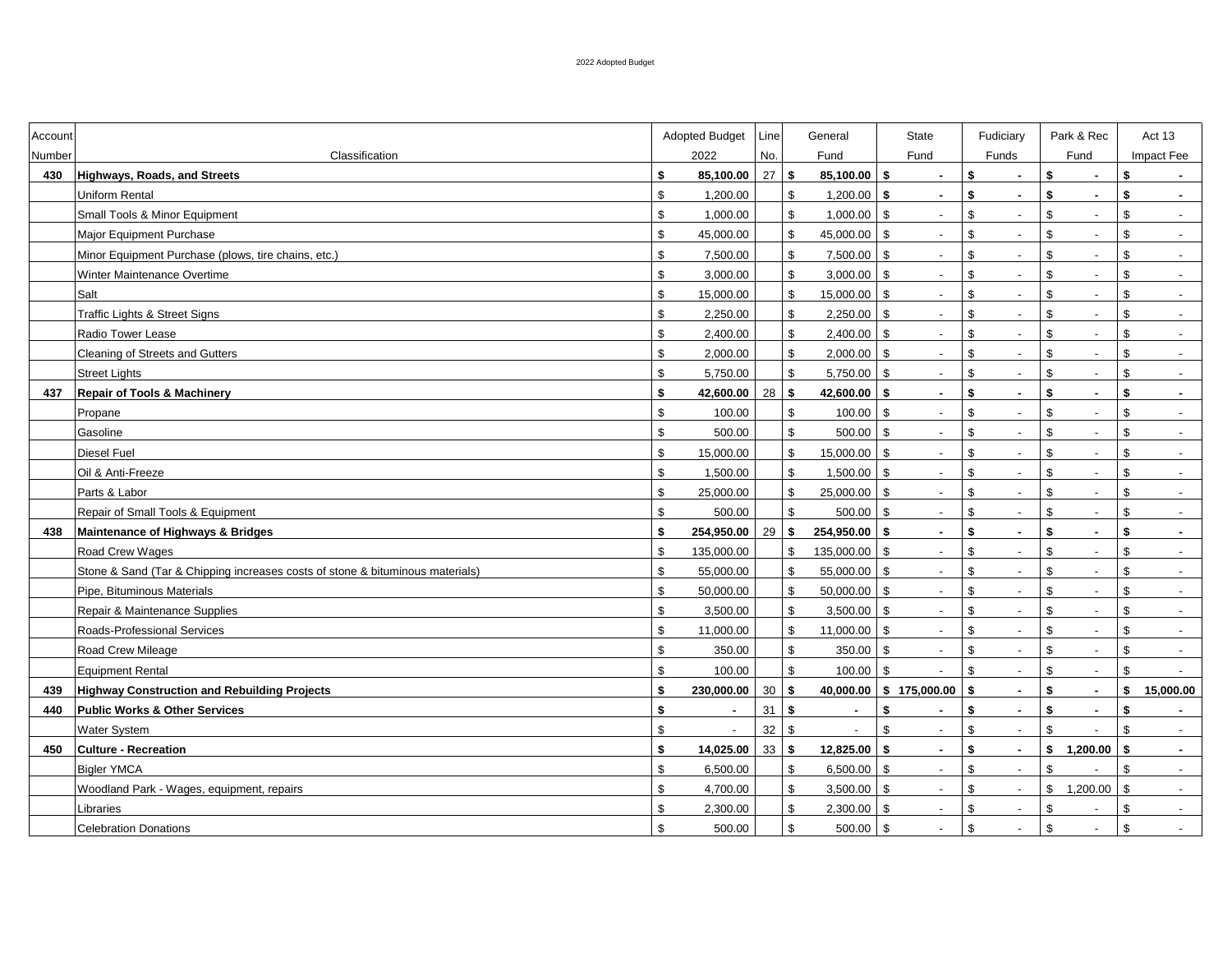| Account |                                                                               |                | <b>Adopted Budget</b> | Line                         |                         | General        |                | State                    |               | Fudiciary                   |                | Park & Rec               |              | Act 13                   |
|---------|-------------------------------------------------------------------------------|----------------|-----------------------|------------------------------|-------------------------|----------------|----------------|--------------------------|---------------|-----------------------------|----------------|--------------------------|--------------|--------------------------|
| Number  | Classification                                                                |                | 2022                  | No.                          |                         | Fund           |                | Fund                     |               | Funds                       |                | Fund                     |              | Impact Fee               |
| 430     | <b>Highways, Roads, and Streets</b>                                           | \$             | 85,100.00             | 27                           | $\mathbf{s}$            | 85,100.00      | S.             | $\overline{a}$           | \$            | $\overline{a}$              | \$             | $\sim$                   | \$           |                          |
|         | Uniform Rental                                                                | \$             | 1,200.00              |                              | \$                      | 1,200.00       | S.             | $\sim$                   | \$            | $\mathbf{r}$                | \$             | $\sim$                   | \$           | $\sim$                   |
|         | Small Tools & Minor Equipment                                                 | $$\mathbb{S}$$ | 1,000.00              |                              | $\mathfrak s$           | 1,000.00       | \$             | $\blacksquare$           | $\mathfrak s$ | $\overline{\phantom{a}}$    | \$             | $\overline{\phantom{a}}$ | \$           | $\overline{\phantom{a}}$ |
|         | Major Equipment Purchase                                                      | $$\mathbb{S}$$ | 45,000.00             |                              | \$                      | 45,000.00      | \$             | $\blacksquare$           | $\mathfrak s$ | $\overline{\phantom{a}}$    | $\mathbb{S}$   |                          | \$           |                          |
|         | Minor Equipment Purchase (plows, tire chains, etc.)                           | \$             | 7,500.00              |                              | \$                      | 7,500.00       | \$             | $\blacksquare$           | \$            | $\blacksquare$              | $\mathbb{S}$   |                          | \$           | $\blacksquare$           |
|         | Winter Maintenance Overtime                                                   | $$\mathbb{S}$$ | 3,000.00              |                              | \$                      | 3,000.00       | \$             | $\overline{\phantom{a}}$ | \$            | $\blacksquare$              | \$             | $\overline{\phantom{a}}$ | \$           | $\blacksquare$           |
|         | Salt                                                                          | $$\mathbb{S}$$ | 15,000.00             |                              | \$                      | 15,000.00      | \$             | $\blacksquare$           | \$            | $\sim$                      | \$             | $\overline{\phantom{a}}$ | \$           | $\sim$                   |
|         | Traffic Lights & Street Signs                                                 | $$\mathbb{S}$$ | 2,250.00              |                              | \$                      | 2,250.00       | $\sqrt[6]{3}$  | $\blacksquare$           | \$            | $\blacksquare$              | \$             | $\overline{\phantom{a}}$ | \$           | $\overline{\phantom{a}}$ |
|         | Radio Tower Lease                                                             | $$\mathbb{S}$$ | 2,400.00              |                              | $\mathfrak s$           | 2,400.00       | $\mathfrak s$  | $\overline{\phantom{a}}$ | $\mathfrak s$ | $\blacksquare$              | $\mathbb{S}$   | $\overline{\phantom{a}}$ | \$           | $\blacksquare$           |
|         | <b>Cleaning of Streets and Gutters</b>                                        | $$\mathbb{S}$$ | 2,000.00              |                              | \$                      | 2,000.00       | $\mathfrak s$  | $\overline{\phantom{a}}$ | $\mathfrak s$ | $\sim$                      | $\mathbb{S}$   | $\overline{\phantom{a}}$ | \$           | $\blacksquare$           |
|         | <b>Street Lights</b>                                                          | $$\mathbb{S}$$ | 5,750.00              |                              | \$                      | 5,750.00       | \$             | $\blacksquare$           | $\mathfrak s$ | $\mathcal{L}^{\mathcal{A}}$ | $\mathbb{S}$   | $\overline{\phantom{a}}$ | \$           | $\overline{\phantom{a}}$ |
| 437     | <b>Repair of Tools &amp; Machinery</b>                                        | \$             | 42,600.00             | $28 \overline{\phantom{1}8}$ |                         | 42,600.00      | S.             | $\blacksquare$           | \$            | $\blacksquare$              | \$             | $\sim$                   | \$           | $\blacksquare$           |
|         | Propane                                                                       | \$             | 100.00                |                              | \$                      | 100.00         | \$             | $\blacksquare$           | $\mathfrak s$ | $\overline{\phantom{a}}$    | $\mathbb{S}$   |                          | \$           | $\blacksquare$           |
|         | Gasoline                                                                      | $$\mathbb{S}$$ | 500.00                |                              | $\mathfrak s$           | 500.00         | \$             | $\blacksquare$           | $\mathfrak s$ | $\overline{\phantom{a}}$    | \$             |                          | \$           | $\blacksquare$           |
|         | Diesel Fuel                                                                   | $$\mathbb{S}$$ | 15,000.00             |                              | \$                      | 15,000.00      | \$             | $\blacksquare$           | \$            | $\overline{\phantom{a}}$    | \$             |                          | \$           | $\overline{\phantom{a}}$ |
|         | Oil & Anti-Freeze                                                             | $\mathfrak{S}$ | 1,500.00              |                              | $\mathfrak s$           | 1,500.00       | \$             | $\overline{\phantom{a}}$ | \$            | $\overline{\phantom{a}}$    | \$             |                          | \$           | $\overline{\phantom{a}}$ |
|         | Parts & Labor                                                                 | $\mathfrak{S}$ | 25,000.00             |                              | $\mathfrak s$           | 25,000.00      | $\mathfrak{S}$ | $\blacksquare$           | \$            | $\blacksquare$              | $\mathbb{S}$   | $\overline{\phantom{a}}$ | \$           | $\sim$                   |
|         | Repair of Small Tools & Equipment                                             | $\mathfrak{S}$ | 500.00                |                              | $\mathfrak{S}$          | 500.00         | \$             | $\sim$                   | $\mathbb{S}$  | $\mathbf{L}$                | $\mathfrak{S}$ | $\overline{\phantom{a}}$ | \$           | $\mathbf{L}$             |
| 438     | Maintenance of Highways & Bridges                                             | $\mathbf{s}$   | 254,950.00            | 29                           | S.                      | 254,950.00     | \$             | $\blacksquare$           | \$            | $\mathbf{r}$                | \$             | $\sim$                   | \$           | $\mathbf{r}$             |
|         | Road Crew Wages                                                               | \$             | 135,000.00            |                              | \$                      | 135,000.00     | \$             | $\blacksquare$           | $\mathbb{S}$  | $\overline{\phantom{0}}$    | \$             |                          | \$           | $\overline{\phantom{a}}$ |
|         | Stone & Sand (Tar & Chipping increases costs of stone & bituminous materials) | \$             | 55,000.00             |                              | \$                      | 55,000.00      | \$             | $\blacksquare$           | $\mathfrak s$ | $\mathcal{L}_{\mathcal{A}}$ | $\mathbb{S}$   | $\overline{\phantom{a}}$ | \$           | $\blacksquare$           |
|         | Pipe, Bituminous Materials                                                    | $$\mathbb{S}$$ | 50,000.00             |                              | $\mathfrak s$           | 50,000.00      | \$             | $\blacksquare$           | $\mathfrak s$ | $\blacksquare$              | $\mathbb{S}$   |                          | \$           | $\blacksquare$           |
|         | Repair & Maintenance Supplies                                                 | $$\mathbb{S}$$ | 3,500.00              |                              | \$                      | 3,500.00       | $\sqrt{3}$     | $\blacksquare$           | $\mathfrak s$ | $\mathcal{L}_{\mathcal{A}}$ | $\mathbb{S}$   | $\overline{\phantom{a}}$ | \$           | $\sim$                   |
|         | Roads-Professional Services                                                   | $$\mathbb{S}$$ | 11,000.00             |                              | \$                      | $11,000.00$ \$ |                | $\sim$                   | $\mathfrak s$ | $\sim$                      | \$             | $\overline{\phantom{a}}$ | \$           | $\overline{\phantom{a}}$ |
|         | Road Crew Mileage                                                             | \$             | 350.00                |                              | $\mathfrak s$           | 350.00         | $\sqrt{3}$     | $\overline{\phantom{a}}$ | $\mathfrak s$ | $\sim$                      | $\mathbb{S}$   | $\overline{\phantom{a}}$ | \$           | $\overline{\phantom{a}}$ |
|         | <b>Equipment Rental</b>                                                       | \$             | 100.00                |                              | $\sqrt[6]{\frac{1}{2}}$ | 100.00         | $\sqrt[6]{3}$  | $\blacksquare$           | \$            | $\sim$                      | $\mathbb{S}$   | $\overline{\phantom{a}}$ | \$           | $\sim$                   |
| 439     | <b>Highway Construction and Rebuilding Projects</b>                           | \$             | 230,000.00            | $30\,$                       | \$                      | 40,000.00      |                | \$175,000.00             | S.            | $\mathbf{r}$                | \$             | $\sim$                   | \$           | 15,000.00                |
| 440     | <b>Public Works &amp; Other Services</b>                                      | \$             | $\mathbf{r}$          | 31                           | S.                      | $\sim$         | \$             | $\blacksquare$           | \$            | $\mathbf{r}$                | \$             | $\sim$                   | \$           |                          |
|         | Water System                                                                  | $\mathfrak{S}$ |                       | 32                           | $\mathfrak{S}$          |                | $\mathfrak{S}$ | $\overline{\phantom{a}}$ | $\mathbb{S}$  | $\overline{\phantom{a}}$    | $\mathfrak{S}$ |                          | \$           |                          |
| 450     | <b>Culture - Recreation</b>                                                   | \$             | 14,025.00             | $33 \mid$ \$                 |                         | 12,825.00      | \$             | $\sim$                   | \$            | $\sim$                      |                | \$1,200.00               | $\mathbf{s}$ | $\sim$                   |
|         | <b>Bigler YMCA</b>                                                            | \$             | 6,500.00              |                              | \$                      | 6,500.00       | \$             | $\sim$                   | \$            | $\overline{\phantom{a}}$    | \$             |                          | \$           | $\overline{\phantom{a}}$ |
|         | Woodland Park - Wages, equipment, repairs                                     | \$             | 4,700.00              |                              | \$                      | 3,500.00       | \$             | $\sim$                   | \$            | $\sim$                      |                | \$1,200.00               | \$           | $\sim$                   |
|         | Libraries                                                                     | \$             | 2,300.00              |                              | \$                      | 2,300.00       | \$             | $\overline{\phantom{a}}$ | \$            | $\overline{\phantom{a}}$    | \$             |                          | \$           | $\overline{\phantom{a}}$ |
|         | <b>Celebration Donations</b>                                                  | $\mathfrak{S}$ | 500.00                |                              | $\mathfrak s$           | 500.00         | \$             | $\blacksquare$           | \$            | $\blacksquare$              | \$             |                          | \$           | $\sim$                   |